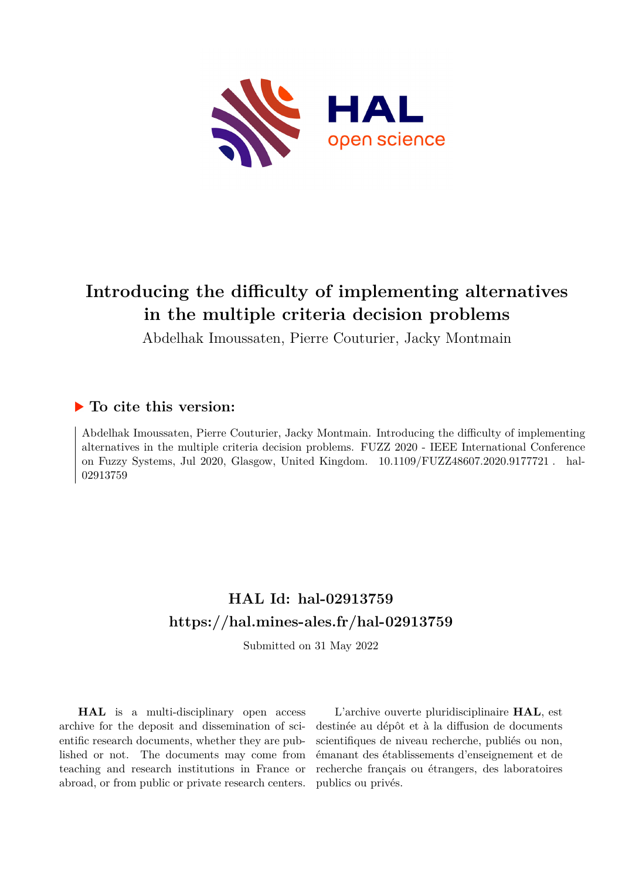

## **Introducing the difficulty of implementing alternatives in the multiple criteria decision problems**

Abdelhak Imoussaten, Pierre Couturier, Jacky Montmain

### **To cite this version:**

Abdelhak Imoussaten, Pierre Couturier, Jacky Montmain. Introducing the difficulty of implementing alternatives in the multiple criteria decision problems. FUZZ 2020 - IEEE International Conference on Fuzzy Systems, Jul 2020, Glasgow, United Kingdom.  $10.1109/FUZZ48607.2020.9177721$ . hal-02913759ff

## **HAL Id: hal-02913759 <https://hal.mines-ales.fr/hal-02913759>**

Submitted on 31 May 2022

**HAL** is a multi-disciplinary open access archive for the deposit and dissemination of scientific research documents, whether they are published or not. The documents may come from teaching and research institutions in France or abroad, or from public or private research centers.

L'archive ouverte pluridisciplinaire **HAL**, est destinée au dépôt et à la diffusion de documents scientifiques de niveau recherche, publiés ou non, émanant des établissements d'enseignement et de recherche français ou étrangers, des laboratoires publics ou privés.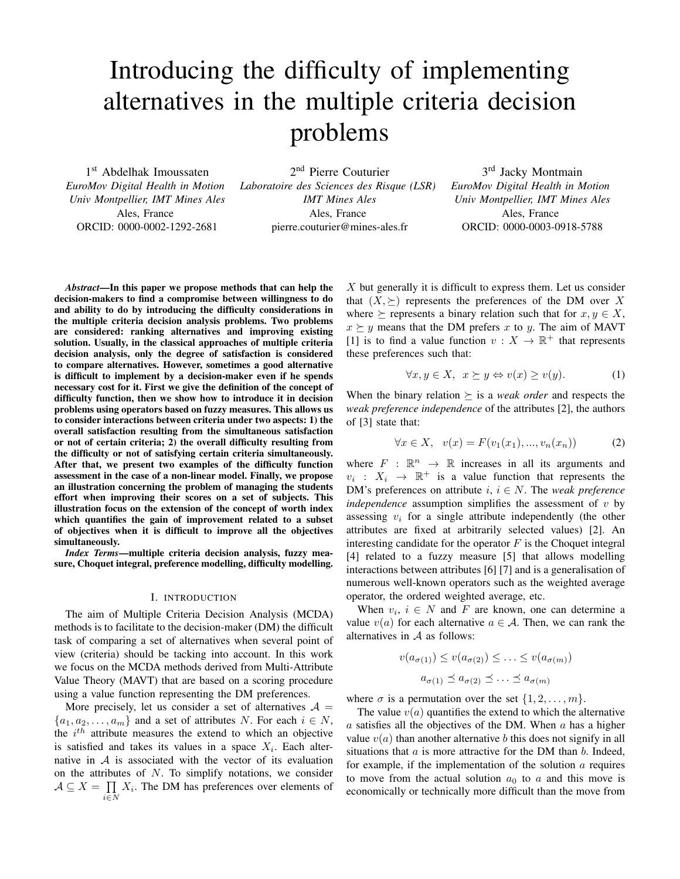# Introducing the difficulty of implementing alternatives in the multiple criteria decision problems

1 st Abdelhak Imoussaten *EuroMov Digital Health in Motion Univ Montpellier, IMT Mines Ales* Ales, France ORCID: 0000-0002-1292-2681

2 nd Pierre Couturier *Laboratoire des Sciences des Risque (LSR) IMT Mines Ales* Ales, France pierre.couturier@mines-ales.fr

3<sup>rd</sup> Jacky Montmain *EuroMov Digital Health in Motion Univ Montpellier, IMT Mines Ales* Ales, France ORCID: 0000-0003-0918-5788

*Abstract*—In this paper we propose methods that can help the decision-makers to find a compromise between willingness to do and ability to do by introducing the difficulty considerations in the multiple criteria decision analysis problems. Two problems are considered: ranking alternatives and improving existing solution. Usually, in the classical approaches of multiple criteria decision analysis, only the degree of satisfaction is considered to compare alternatives. However, sometimes a good alternative is difficult to implement by a decision-maker even if he spends necessary cost for it. First we give the definition of the concept of difficulty function, then we show how to introduce it in decision problems using operators based on fuzzy measures. This allows us to consider interactions between criteria under two aspects: 1) the overall satisfaction resulting from the simultaneous satisfaction or not of certain criteria; 2) the overall difficulty resulting from the difficulty or not of satisfying certain criteria simultaneously. After that, we present two examples of the difficulty function assessment in the case of a non-linear model. Finally, we propose an illustration concerning the problem of managing the students effort when improving their scores on a set of subjects. This illustration focus on the extension of the concept of worth index which quantifies the gain of improvement related to a subset of objectives when it is difficult to improve all the objectives simultaneously.

*Index Terms*—multiple criteria decision analysis, fuzzy measure, Choquet integral, preference modelling, difficulty modelling.

#### I. INTRODUCTION

The aim of Multiple Criteria Decision Analysis (MCDA) methods is to facilitate to the decision-maker (DM) the difficult task of comparing a set of alternatives when several point of view (criteria) should be tacking into account. In this work we focus on the MCDA methods derived from Multi-Attribute Value Theory (MAVT) that are based on a scoring procedure using a value function representing the DM preferences.

More precisely, let us consider a set of alternatives  $A =$  $\{a_1, a_2, \ldots, a_m\}$  and a set of attributes N. For each  $i \in N$ , the  $i^{th}$  attribute measures the extend to which an objective is satisfied and takes its values in a space  $X_i$ . Each alternative in  $A$  is associated with the vector of its evaluation on the attributes of  $N$ . To simplify notations, we consider  $\mathcal{A} \subseteq X = \prod$  $\prod_{i \in N} X_i$ . The DM has preferences over elements of  $X$  but generally it is difficult to express them. Let us consider that  $(X, \geq)$  represents the preferences of the DM over X where  $\succeq$  represents a binary relation such that for  $x, y \in X$ ,  $x \succeq y$  means that the DM prefers x to y. The aim of MAVT [1] is to find a value function  $v : X \to \mathbb{R}^+$  that represents these preferences such that:

$$
\forall x, y \in X, \ x \succeq y \Leftrightarrow v(x) \ge v(y). \tag{1}
$$

When the binary relation  $\succeq$  is a *weak order* and respects the *weak preference independence* of the attributes [2], the authors of [3] state that:

$$
\forall x \in X, \quad v(x) = F(v_1(x_1), ..., v_n(x_n)) \tag{2}
$$

where  $F : \mathbb{R}^n \to \mathbb{R}$  increases in all its arguments and  $v_i : X_i \rightarrow \mathbb{R}^+$  is a value function that represents the DM's preferences on attribute  $i, i \in N$ . The *weak preference independence* assumption simplifies the assessment of v by assessing  $v_i$  for a single attribute independently (the other attributes are fixed at arbitrarily selected values) [2]. An interesting candidate for the operator  $F$  is the Choquet integral [4] related to a fuzzy measure [5] that allows modelling interactions between attributes [6] [7] and is a generalisation of numerous well-known operators such as the weighted average operator, the ordered weighted average, etc.

When  $v_i$ ,  $i \in N$  and F are known, one can determine a value  $v(a)$  for each alternative  $a \in A$ . Then, we can rank the alternatives in  $A$  as follows:

$$
v(a_{\sigma(1)}) \le v(a_{\sigma(2)}) \le \ldots \le v(a_{\sigma(m)})
$$

$$
a_{\sigma(1)} \preceq a_{\sigma(2)} \preceq \ldots \preceq a_{\sigma(m)}
$$

where  $\sigma$  is a permutation over the set  $\{1, 2, \ldots, m\}$ .

The value  $v(a)$  quantifies the extend to which the alternative  $\alpha$  satisfies all the objectives of the DM. When  $\alpha$  has a higher value  $v(a)$  than another alternative b this does not signify in all situations that  $a$  is more attractive for the DM than  $b$ . Indeed, for example, if the implementation of the solution  $\alpha$  requires to move from the actual solution  $a_0$  to a and this move is economically or technically more difficult than the move from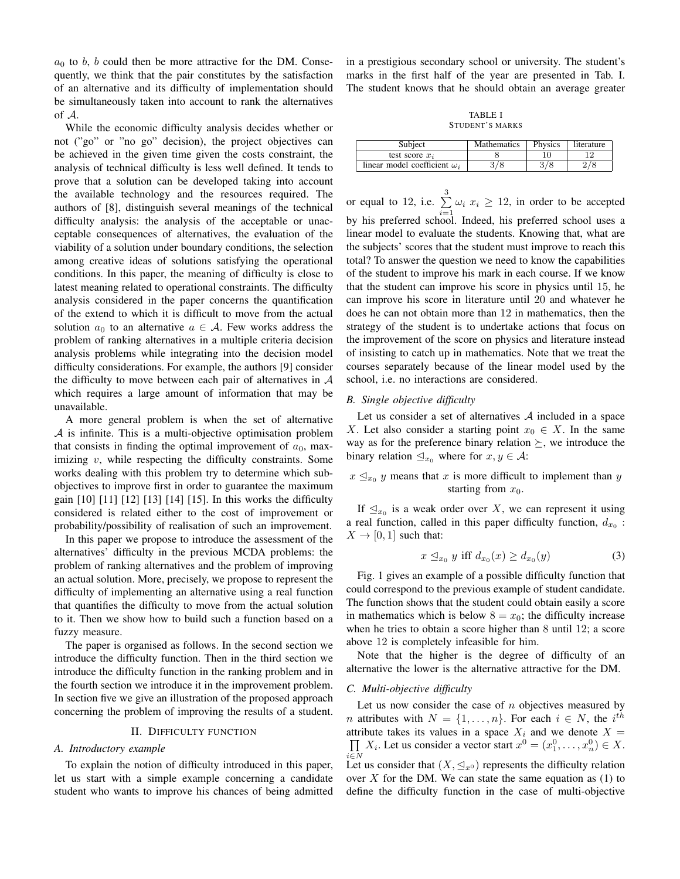$a_0$  to b, b could then be more attractive for the DM. Consequently, we think that the pair constitutes by the satisfaction of an alternative and its difficulty of implementation should be simultaneously taken into account to rank the alternatives of A.

While the economic difficulty analysis decides whether or not ("go" or "no go" decision), the project objectives can be achieved in the given time given the costs constraint, the analysis of technical difficulty is less well defined. It tends to prove that a solution can be developed taking into account the available technology and the resources required. The authors of [8], distinguish several meanings of the technical difficulty analysis: the analysis of the acceptable or unacceptable consequences of alternatives, the evaluation of the viability of a solution under boundary conditions, the selection among creative ideas of solutions satisfying the operational conditions. In this paper, the meaning of difficulty is close to latest meaning related to operational constraints. The difficulty analysis considered in the paper concerns the quantification of the extend to which it is difficult to move from the actual solution  $a_0$  to an alternative  $a \in A$ . Few works address the problem of ranking alternatives in a multiple criteria decision analysis problems while integrating into the decision model difficulty considerations. For example, the authors [9] consider the difficulty to move between each pair of alternatives in  $A$ which requires a large amount of information that may be unavailable.

A more general problem is when the set of alternative  $A$  is infinite. This is a multi-objective optimisation problem that consists in finding the optimal improvement of  $a_0$ , maximizing  $v$ , while respecting the difficulty constraints. Some works dealing with this problem try to determine which subobjectives to improve first in order to guarantee the maximum gain [10] [11] [12] [13] [14] [15]. In this works the difficulty considered is related either to the cost of improvement or probability/possibility of realisation of such an improvement.

In this paper we propose to introduce the assessment of the alternatives' difficulty in the previous MCDA problems: the problem of ranking alternatives and the problem of improving an actual solution. More, precisely, we propose to represent the difficulty of implementing an alternative using a real function that quantifies the difficulty to move from the actual solution to it. Then we show how to build such a function based on a fuzzy measure.

The paper is organised as follows. In the second section we introduce the difficulty function. Then in the third section we introduce the difficulty function in the ranking problem and in the fourth section we introduce it in the improvement problem. In section five we give an illustration of the proposed approach concerning the problem of improving the results of a student.

#### II. DIFFICULTY FUNCTION

#### *A. Introductory example*

To explain the notion of difficulty introduced in this paper, let us start with a simple example concerning a candidate student who wants to improve his chances of being admitted

in a prestigious secondary school or university. The student's marks in the first half of the year are presented in Tab. I. The student knows that he should obtain an average greater

TABLE I STUDENT'S MARKS

| Subject                             | <b>Mathematics</b> | Physics | literature |
|-------------------------------------|--------------------|---------|------------|
| test score $x_i$                    |                    |         |            |
| linear model coefficient $\omega_i$ |                    |         |            |

or equal to 12, i.e.  $\sum_{ }^{3}$  $\sum_{i=1} \omega_i x_i \ge 12$ , in order to be accepted by his preferred school. Indeed, his preferred school uses a linear model to evaluate the students. Knowing that, what are the subjects' scores that the student must improve to reach this total? To answer the question we need to know the capabilities of the student to improve his mark in each course. If we know that the student can improve his score in physics until 15, he can improve his score in literature until 20 and whatever he does he can not obtain more than 12 in mathematics, then the strategy of the student is to undertake actions that focus on the improvement of the score on physics and literature instead of insisting to catch up in mathematics. Note that we treat the courses separately because of the linear model used by the school, i.e. no interactions are considered.

#### *B. Single objective difficulty*

Let us consider a set of alternatives  $A$  included in a space X. Let also consider a starting point  $x_0 \in X$ . In the same way as for the preference binary relation  $\succeq$ , we introduce the binary relation  $\leq_{x_0}$  where for  $x, y \in \mathcal{A}$ :

#### $x \leq_{x_0} y$  means that x is more difficult to implement than y starting from  $x_0$ .

If  $\trianglelefteq_{x_0}$  is a weak order over X, we can represent it using a real function, called in this paper difficulty function,  $d_{x_0}$ :  $X \rightarrow [0, 1]$  such that:

$$
x \leq_{x_0} y \text{ iff } d_{x_0}(x) \geq d_{x_0}(y) \tag{3}
$$

Fig. 1 gives an example of a possible difficulty function that could correspond to the previous example of student candidate. The function shows that the student could obtain easily a score in mathematics which is below  $8 = x_0$ ; the difficulty increase when he tries to obtain a score higher than 8 until 12; a score above 12 is completely infeasible for him.

Note that the higher is the degree of difficulty of an alternative the lower is the alternative attractive for the DM.

#### *C. Multi-objective difficulty*

Let us now consider the case of  $n$  objectives measured by *n* attributes with  $N = \{1, ..., n\}$ . For each  $i \in N$ , the  $i^{th}$ attribute takes its values in a space  $X_i$  and we denote  $X =$  $\prod X_i$ . Let us consider a vector start  $x^0 = (x_1^0, \dots, x_n^0) \in X$ . *i*∈*N* Let us consider that  $(X, \leq_{x^0})$  represents the difficulty relation over X for the DM. We can state the same equation as  $(1)$  to define the difficulty function in the case of multi-objective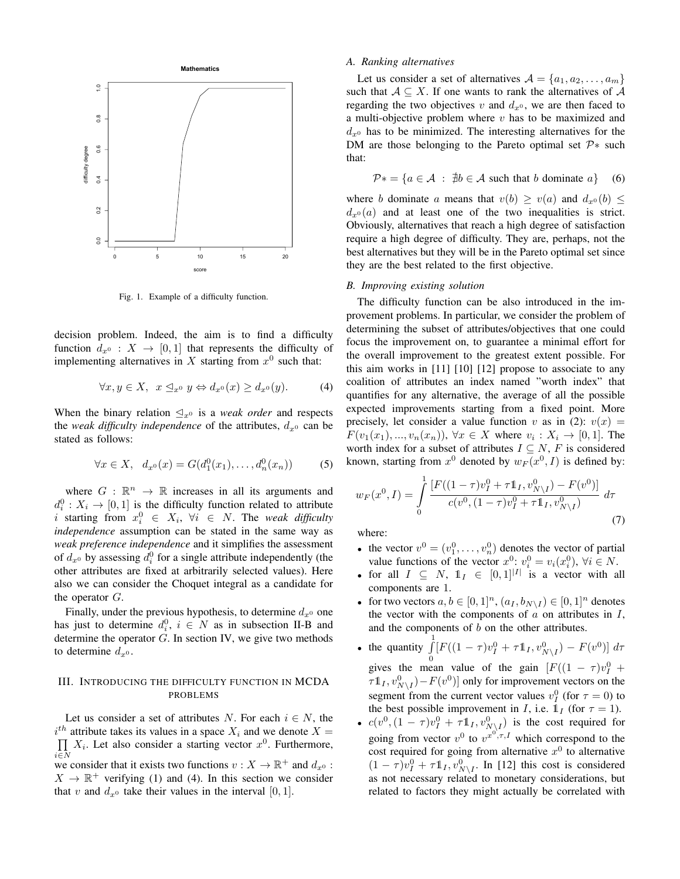

Fig. 1. Example of a difficulty function.

decision problem. Indeed, the aim is to find a difficulty function  $d_{x^0}: X \to [0,1]$  that represents the difficulty of implementing alternatives in X starting from  $x^0$  such that:

$$
\forall x, y \in X, \ x \leq_{x^0} y \Leftrightarrow d_{x^0}(x) \geq d_{x^0}(y). \tag{4}
$$

When the binary relation  $\leq_{x^0}$  is a *weak order* and respects the *weak difficulty independence* of the attributes,  $d_{x^0}$  can be stated as follows:

$$
\forall x \in X, \quad d_{x^0}(x) = G(d_1^0(x_1), \dots, d_n^0(x_n)) \tag{5}
$$

where  $G : \mathbb{R}^n \to \mathbb{R}$  increases in all its arguments and  $d_i^0: X_i \to [0,1]$  is the difficulty function related to attribute i starting from  $x_i^0 \in X_i$ ,  $\forall i \in N$ . The *weak difficulty independence* assumption can be stated in the same way as *weak preference independence* and it simplifies the assessment of  $d_{x^0}$  by assessing  $d_i^0$  for a single attribute independently (the other attributes are fixed at arbitrarily selected values). Here also we can consider the Choquet integral as a candidate for the operator  $G$ .

Finally, under the previous hypothesis, to determine  $d_{x0}$  one has just to determine  $d_i^0$ ,  $i \in N$  as in subsection II-B and determine the operator  $G$ . In section IV, we give two methods to determine  $d_{x^0}$ .

#### III. INTRODUCING THE DIFFICULTY FUNCTION IN MCDA PROBLEMS

Let us consider a set of attributes N. For each  $i \in N$ , the  $i^{th}$  attribute takes its values in a space  $X_i$  and we denote  $X =$  $\prod X_i$ . Let also consider a starting vector  $x^0$ . Furthermore, *i*∈*N* we consider that it exists two functions  $v : X \to \mathbb{R}^+$  and  $d_{x^0}$ :  $X \to \mathbb{R}^+$  verifying (1) and (4). In this section we consider that v and  $d_{x^0}$  take their values in the interval [0, 1].

#### *A. Ranking alternatives*

Let us consider a set of alternatives  $A = \{a_1, a_2, \ldots, a_m\}$ such that  $A \subseteq X$ . If one wants to rank the alternatives of A regarding the two objectives v and  $d_{x0}$ , we are then faced to a multi-objective problem where  $v$  has to be maximized and  $d_{x0}$  has to be minimized. The interesting alternatives for the DM are those belonging to the Pareto optimal set  $\mathcal{P}*$  such that:

$$
\mathcal{P}^* = \{ a \in \mathcal{A} : \nexists b \in \mathcal{A} \text{ such that } b \text{ dominate } a \} \tag{6}
$$

where b dominate a means that  $v(b) \ge v(a)$  and  $d_{x0}(b) \le$  $d_{x0}(a)$  and at least one of the two inequalities is strict. Obviously, alternatives that reach a high degree of satisfaction require a high degree of difficulty. They are, perhaps, not the best alternatives but they will be in the Pareto optimal set since they are the best related to the first objective.

#### *B. Improving existing solution*

The difficulty function can be also introduced in the improvement problems. In particular, we consider the problem of determining the subset of attributes/objectives that one could focus the improvement on, to guarantee a minimal effort for the overall improvement to the greatest extent possible. For this aim works in [11] [10] [12] propose to associate to any coalition of attributes an index named "worth index" that quantifies for any alternative, the average of all the possible expected improvements starting from a fixed point. More precisely, let consider a value function v as in (2):  $v(x) =$  $F(v_1(x_1),...,v_n(x_n)), \forall x \in X$  where  $v_i: X_i \to [0,1]$ . The worth index for a subset of attributes  $I \subseteq N$ , F is considered known, starting from  $x^0$  denoted by  $w_F(x^0, I)$  is defined by:

$$
w_F(x^0, I) = \int_0^1 \frac{[F((1-\tau)v_I^0 + \tau \mathbb{1}_I, v_{N\setminus I}^0) - F(v^0)]}{c(v^0, (1-\tau)v_I^0 + \tau \mathbb{1}_I, v_{N\setminus I}^0)} d\tau
$$
\n(7)

where:

- the vector  $v^0 = (v_1^0, \dots, v_n^0)$  denotes the vector of partial value functions of the vector  $x^0$ :  $v_i^0 = v_i(x_i^0)$ ,  $\forall i \in N$ .
- for all  $I \subseteq N$ ,  $1_I \in [0,1]^{|I|}$  is a vector with all components are 1.
- for two vectors  $a, b \in [0, 1]^n$ ,  $(a_I, b_{N \setminus I}) \in [0, 1]^n$  denotes the vector with the components of  $a$  on attributes in  $I$ , and the components of  $b$  on the other attributes.
- the quantity  $\int_0^1$ 0  $[F((1 - \tau)v_I^0 + \tau \mathbb{1}_I, v_{N \setminus I}^0) - F(v^0)] d\tau$ gives the mean value of the gain  $[F((1 - \tau)v_I^0 +$  $\tau \mathbb{1}_I, v^0_{N \setminus I}) - F(v^0)$ ] only for improvement vectors on the segment from the current vector values  $v_I^0$  (for  $\tau = 0$ ) to the best possible improvement in I, i.e.  $\mathbb{1}_I$  (for  $\tau = 1$ ).
- $c(v^0, (1 \tau)v_I^0 + \tau \mathbb{1}_I, v_{N\setminus I}^0)$  is the cost required for going from vector  $v^0$  to  $v^{x^0, \tau, I}$  which correspond to the cost required for going from alternative  $x^0$  to alternative  $(1 - \tau) v_I^0 + \tau \mathbb{1}_I$ ,  $v_{N \setminus I}^0$ . In [12] this cost is considered as not necessary related to monetary considerations, but related to factors they might actually be correlated with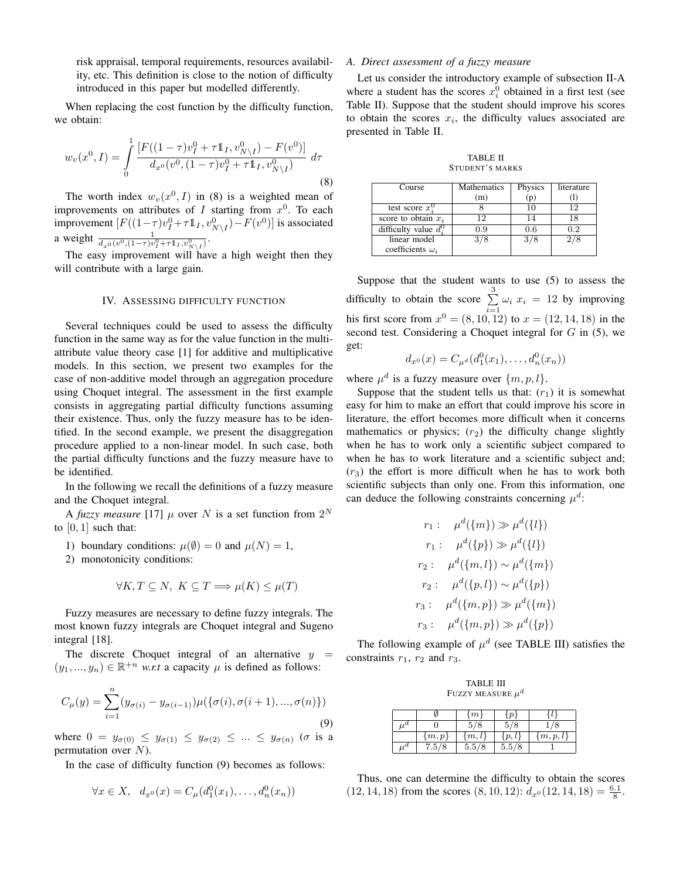risk appraisal, temporal requirements, resources availability, etc. This definition is close to the notion of difficulty introduced in this paper but modelled differently.

When replacing the cost function by the difficulty function, we obtain:

$$
w_v(x^0, I) = \int_0^1 \frac{[F((1-\tau)v_I^0 + \tau \mathbb{1}_I, v_{N \setminus I}^0) - F(v^0)]}{d_{x^0}(v^0, (1-\tau)v_I^0 + \tau \mathbb{1}_I, v_{N \setminus I}^0)} d\tau
$$
\n(8)

The worth index  $w_v(x^0, I)$  in (8) is a weighted mean of improvements on attributes of I starting from  $x^0$ . To each improvement  $[F((1-\tau)v_I^0 + \tau \mathbb{1}_I, v_{N\setminus I}^0) - F(v^0)]$  is associated a weight  $\frac{1}{d_{x0}(v^0,(1-\tau)v_I^0 + \tau \mathbb{1}_I, v_{N\setminus I}^0)}$ .

The easy improvement will have a high weight then they will contribute with a large gain.

#### IV. ASSESSING DIFFICULTY FUNCTION

Several techniques could be used to assess the difficulty function in the same way as for the value function in the multiattribute value theory case [1] for additive and multiplicative models. In this section, we present two examples for the case of non-additive model through an aggregation procedure using Choquet integral. The assessment in the first example consists in aggregating partial difficulty functions assuming their existence. Thus, only the fuzzy measure has to be identified. In the second example, we present the disaggregation procedure applied to a non-linear model. In such case, both the partial difficulty functions and the fuzzy measure have to be identified.

In the following we recall the definitions of a fuzzy measure and the Choquet integral.

A *fuzzy measure* [17]  $\mu$  over N is a set function from  $2^N$ to  $[0, 1]$  such that:

1) boundary conditions:  $\mu(\emptyset) = 0$  and  $\mu(N) = 1$ ,

2) monotonicity conditions:

$$
\forall K, T \subseteq N, \ K \subseteq T \Longrightarrow \mu(K) \le \mu(T)
$$

Fuzzy measures are necessary to define fuzzy integrals. The most known fuzzy integrals are Choquet integral and Sugeno integral [18].

The discrete Choquet integral of an alternative  $y = y$  $(y_1, ..., y_n) \in \mathbb{R}^{+n}$  *w.r.t* a capacity  $\mu$  is defined as follows:

$$
C_{\mu}(y) = \sum_{i=1}^{n} (y_{\sigma(i)} - y_{\sigma(i-1)}) \mu(\{\sigma(i), \sigma(i+1), ..., \sigma(n)\})
$$
\n(9)

where  $0 = y_{\sigma(0)} \leq y_{\sigma(1)} \leq y_{\sigma(2)} \leq ... \leq y_{\sigma(n)}$  ( $\sigma$  is a permutation over  $N$ ).

In the case of difficulty function (9) becomes as follows:

$$
\forall x \in X, \quad d_{x^0}(x) = C_{\mu}(d_1^0(x_1), \dots, d_n^0(x_n))
$$

#### *A. Direct assessment of a fuzzy measure*

Let us consider the introductory example of subsection II-A where a student has the scores  $x_i^0$  obtained in a first test (see Table II). Suppose that the student should improve his scores to obtain the scores  $x_i$ , the difficulty values associated are presented in Table II.

TABLE II STUDENT'S MARKS

| Course                   | <b>Mathematics</b> | Physics | literature |
|--------------------------|--------------------|---------|------------|
|                          | (m)                |         |            |
| test score $x^0$         |                    | 10      | 12         |
| score to obtain $x_i$    | 12                 | 14      | 18         |
| difficulty value $d_1^0$ | 0.9                | 0.6     | Ი.2        |
| linear model             |                    |         |            |
| coefficients $\omega_i$  |                    |         |            |

Suppose that the student wants to use (5) to assess the difficulty to obtain the score  $\sum_{ }^{3}$  $\sum_{i=1} \omega_i x_i = 12$  by improving his first score from  $x^0 = (8, 10, 12)$  to  $x = (12, 14, 18)$  in the second test. Considering a Choquet integral for  $G$  in  $(5)$ , we get:

$$
d_{x^0}(x) = C_{\mu^d}(d_1^0(x_1), \dots, d_n^0(x_n))
$$

where  $\mu^d$  is a fuzzy measure over  $\{m, p, l\}$ .

Suppose that the student tells us that:  $(r_1)$  it is somewhat easy for him to make an effort that could improve his score in literature, the effort becomes more difficult when it concerns mathematics or physics;  $(r_2)$  the difficulty change slightly when he has to work only a scientific subject compared to when he has to work literature and a scientific subject and;  $(r<sub>3</sub>)$  the effort is more difficult when he has to work both scientific subjects than only one. From this information, one can deduce the following constraints concerning  $\mu^d$ :

$$
r_1: \mu^d(\{m\}) \gg \mu^d(\{l\})
$$
  
\n
$$
r_1: \mu^d(\{p\}) \gg \mu^d(\{l\})
$$
  
\n
$$
r_2: \mu^d(\{m,l\}) \sim \mu^d(\{m\})
$$
  
\n
$$
r_2: \mu^d(\{p,l\}) \sim \mu^d(\{p\})
$$
  
\n
$$
r_3: \mu^d(\{m,p\}) \gg \mu^d(\{m\})
$$
  
\n
$$
r_3: \mu^d(\{m,p\}) \gg \mu^d(\{p\})
$$

The following example of  $\mu^d$  (see TABLE III) satisfies the constraints  $r_1$ ,  $r_2$  and  $r_3$ .

| <b>TABLE III</b>      |  |  |  |  |
|-----------------------|--|--|--|--|
| Fuzzy measure $\mu^d$ |  |  |  |  |

|         |           | $\{m\}$   | p'    | L           |
|---------|-----------|-----------|-------|-------------|
| $\mu^a$ |           | 5/8       |       | Ş           |
|         | $\{m,p\}$ | $\{m,l\}$ | p, l  | $\{m,p,l\}$ |
| $\mu^a$ | 7.5/8     | 5.5/8     | 5.5/8 |             |

Thus, one can determine the difficulty to obtain the scores  $(12, 14, 18)$  from the scores  $(8, 10, 12)$ :  $d_{x^0}(12, 14, 18) = \frac{6.1}{8}$ .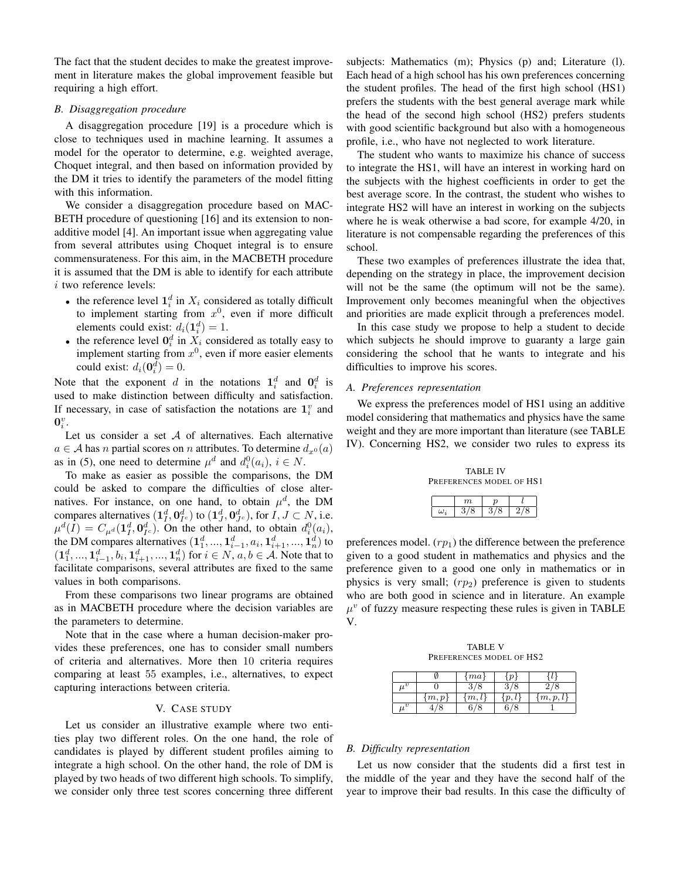The fact that the student decides to make the greatest improvement in literature makes the global improvement feasible but requiring a high effort.

#### *B. Disaggregation procedure*

A disaggregation procedure [19] is a procedure which is close to techniques used in machine learning. It assumes a model for the operator to determine, e.g. weighted average, Choquet integral, and then based on information provided by the DM it tries to identify the parameters of the model fitting with this information.

We consider a disaggregation procedure based on MAC-BETH procedure of questioning [16] and its extension to nonadditive model [4]. An important issue when aggregating value from several attributes using Choquet integral is to ensure commensurateness. For this aim, in the MACBETH procedure it is assumed that the DM is able to identify for each attribute i two reference levels:

- the reference level  $\mathbf{1}_i^d$  in  $X_i$  considered as totally difficult to implement starting from  $x^0$ , even if more difficult elements could exist:  $d_i(1_i^d) = 1$ .
- the reference level  $\mathbf{0}_i^d$  in  $X_i$  considered as totally easy to implement starting from  $x^0$ , even if more easier elements could exist:  $d_i(\mathbf{0}_i^d) = 0$ .

Note that the exponent d in the notations  $\mathbf{1}_i^d$  and  $\mathbf{0}_i^d$  is used to make distinction between difficulty and satisfaction. If necessary, in case of satisfaction the notations are  $\mathbf{1}_i^v$  and  $\mathbf{0}_i^v$ .

Let us consider a set  $A$  of alternatives. Each alternative  $a \in A$  has n partial scores on n attributes. To determine  $d_{x0}(a)$ as in (5), one need to determine  $\mu^d$  and  $d_i^0(a_i)$ ,  $i \in N$ .

To make as easier as possible the comparisons, the DM could be asked to compare the difficulties of close alternatives. For instance, on one hand, to obtain  $\mu^d$ , the DM compares alternatives  $(\mathbf{1}_I^d, \mathbf{0}_{I^c}^d)$  to  $(\mathbf{1}_J^d, \mathbf{0}_{J^c}^d)$ , for  $I, J \subset N$ , i.e.  $\mu^{d}(I) = C_{\mu^{d}}(\mathbf{1}_{I}^{d}, \mathbf{0}_{I^{c}}^{d})$ . On the other hand, to obtain  $d_{i}^{0}(a_{i}),$ the DM compares alternatives  $(\mathbf{1}_1^d, ..., \mathbf{1}_{i-1}^d, a_i, \mathbf{1}_{i+1}^d, ..., \mathbf{1}_n^d)$  to  $(1_1^d, ..., 1_{i-1}^d, b_i, 1_{i+1}^d, ..., 1_n^d)$  for  $i \in N$ ,  $a, b \in A$ . Note that to facilitate comparisons, several attributes are fixed to the same values in both comparisons.

From these comparisons two linear programs are obtained as in MACBETH procedure where the decision variables are the parameters to determine.

Note that in the case where a human decision-maker provides these preferences, one has to consider small numbers of criteria and alternatives. More then 10 criteria requires comparing at least 55 examples, i.e., alternatives, to expect capturing interactions between criteria.

#### V. CASE STUDY

Let us consider an illustrative example where two entities play two different roles. On the one hand, the role of candidates is played by different student profiles aiming to integrate a high school. On the other hand, the role of DM is played by two heads of two different high schools. To simplify, we consider only three test scores concerning three different

subjects: Mathematics (m); Physics (p) and; Literature (l). Each head of a high school has his own preferences concerning the student profiles. The head of the first high school (HS1) prefers the students with the best general average mark while the head of the second high school (HS2) prefers students with good scientific background but also with a homogeneous profile, i.e., who have not neglected to work literature.

The student who wants to maximize his chance of success to integrate the HS1, will have an interest in working hard on the subjects with the highest coefficients in order to get the best average score. In the contrast, the student who wishes to integrate HS2 will have an interest in working on the subjects where he is weak otherwise a bad score, for example 4/20, in literature is not compensable regarding the preferences of this school.

These two examples of preferences illustrate the idea that, depending on the strategy in place, the improvement decision will not be the same (the optimum will not be the same). Improvement only becomes meaningful when the objectives and priorities are made explicit through a preferences model.

In this case study we propose to help a student to decide which subjects he should improve to guaranty a large gain considering the school that he wants to integrate and his difficulties to improve his scores.

#### *A. Preferences representation*

We express the preferences model of HS1 using an additive model considering that mathematics and physics have the same weight and they are more important than literature (see TABLE IV). Concerning HS2, we consider two rules to express its

TABLE IV PREFERENCES MODEL OF HS1

preferences model.  $(r p_1)$  the difference between the preference given to a good student in mathematics and physics and the preference given to a good one only in mathematics or in physics is very small;  $(rp_2)$  preference is given to students who are both good in science and in literature. An example  $\mu^v$  of fuzzy measure respecting these rules is given in TABLE V.

TABLE V PREFERENCES MODEL OF HS2

|         |                       | $\{ma\}$    | $\boldsymbol{\eta}$ |         |
|---------|-----------------------|-------------|---------------------|---------|
| $\mu^v$ |                       | $\bullet$ , |                     |         |
|         | $\lfloor m,p \rfloor$ | m, l        | p,<br>ı             | m, p, l |
| $\mu^v$ |                       |             |                     |         |

#### *B. Difficulty representation*

Let us now consider that the students did a first test in the middle of the year and they have the second half of the year to improve their bad results. In this case the difficulty of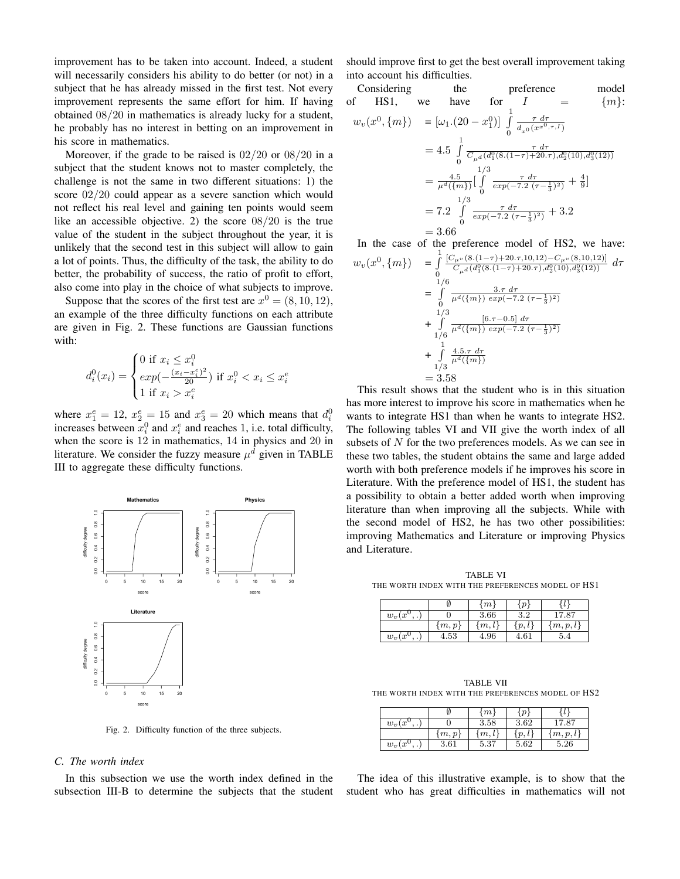improvement has to be taken into account. Indeed, a student will necessarily considers his ability to do better (or not) in a subject that he has already missed in the first test. Not every improvement represents the same effort for him. If having obtained 08/20 in mathematics is already lucky for a student, he probably has no interest in betting on an improvement in his score in mathematics.

Moreover, if the grade to be raised is 02/20 or 08/20 in a subject that the student knows not to master completely, the challenge is not the same in two different situations: 1) the score 02/20 could appear as a severe sanction which would not reflect his real level and gaining ten points would seem like an accessible objective. 2) the score 08/20 is the true value of the student in the subject throughout the year, it is unlikely that the second test in this subject will allow to gain a lot of points. Thus, the difficulty of the task, the ability to do better, the probability of success, the ratio of profit to effort, also come into play in the choice of what subjects to improve.

Suppose that the scores of the first test are  $x^0 = (8, 10, 12)$ , an example of the three difficulty functions on each attribute are given in Fig. 2. These functions are Gaussian functions with:

$$
d_i^0(x_i) = \begin{cases} 0 \text{ if } x_i \le x_i^0 \\ exp(-\frac{(x_i - x_i^e)^2}{20}) \text{ if } x_i^0 < x_i \le x_i^e \\ 1 \text{ if } x_i > x_i^e \end{cases}
$$

where  $x_1^e = 12$ ,  $x_2^e = 15$  and  $x_3^e = 20$  which means that  $d_i^0$  increases between  $x_i^0$  and  $x_i^e$  and reaches 1, i.e. total difficulty, when the score is 12 in mathematics, 14 in physics and 20 in literature. We consider the fuzzy measure  $\mu^d$  given in TABLE III to aggregate these difficulty functions.



Fig. 2. Difficulty function of the three subjects.

#### *C. The worth index*

In this subsection we use the worth index defined in the subsection III-B to determine the subjects that the student should improve first to get the best overall improvement taking into account his difficulties.

Considering the preference model  
\nof HS1, we have for 
$$
I = \{m\}
$$
:  
\n
$$
w_v(x^0, \{m\}) = [\omega_1.(20 - x_1^0)] \int_0^1 \frac{\tau d\tau}{d_{x^0}(x^{x^0}, \tau, I)}
$$
\n
$$
= 4.5 \int_0^1 \frac{\tau d\tau}{C_{\mu d}(d_1^0(8.(1-\tau)+20.\tau), d_2^0(10), d_3^0(12))}
$$
\n
$$
= \frac{4.5}{\mu^d(\{m\})} [\int_0^1 \frac{\tau d\tau}{exp(-7.2 (\tau - \frac{1}{3})^2)} + \frac{4}{9}]
$$
\n
$$
= 7.2 \int_0^{1/3} \frac{\tau d\tau}{exp(-7.2 (\tau - \frac{1}{3})^2)} + 3.2
$$
\n
$$
= 3.66
$$

In the case of the preference model of HS2, we have: 1

$$
w_v(x^0, \{m\}) = \int_0^1 \frac{[C_{\mu^v}(8.(1-\tau)+20.7,10,12)-C_{\mu^v}(8.10,12)]}{C_{\mu^d}(d_1^0(8.(1-\tau)+20.7), d_2^0(10), d_3^0(12))} d\tau
$$
  
\n
$$
= \int_0^{1/6} \frac{3.7 d\tau}{\mu^d(\{m\}) \exp(-7.2 (\tau - \frac{1}{3})^2)}
$$
  
\n
$$
+ \int_{1/6}^{1/3} \frac{[6.7-0.5] d\tau}{\mu^d(\{m\}) \exp(-7.2 (\tau - \frac{1}{3})^2)}
$$
  
\n
$$
+ \int_1^1 \frac{4.5.7 d\tau}{\mu^d(\{m\})}
$$
  
\n
$$
= 3.58
$$

This result shows that the student who is in this situation has more interest to improve his score in mathematics when he wants to integrate HS1 than when he wants to integrate HS2. The following tables VI and VII give the worth index of all subsets of  $N$  for the two preferences models. As we can see in these two tables, the student obtains the same and large added worth with both preference models if he improves his score in Literature. With the preference model of HS1, the student has a possibility to obtain a better added worth when improving literature than when improving all the subjects. While with the second model of HS2, he has two other possibilities: improving Mathematics and Literature or improving Physics and Literature.

TABLE VI THE WORTH INDEX WITH THE PREFERENCES MODEL OF HS1

|            |           | $\{m\}$            | $\boldsymbol{p}$ | ı           |
|------------|-----------|--------------------|------------------|-------------|
| $w_v(x^0)$ |           | 3.66               | 3.2              | 17.87       |
|            | $\{m,p\}$ | $\{m,l\}$          | $\{p, l\}$       | $\{m,p,l\}$ |
| $w_v(x^0)$ | $^{4.53}$ | $\hphantom{0}4.96$ | $^{4.61}$        | 5.4         |

TABLE VII THE WORTH INDEX WITH THE PREFERENCES MODEL OF HS2

|            |           | $\{m\}$   | $\{p\}$   |             |
|------------|-----------|-----------|-----------|-------------|
| $w_v(x^0)$ |           | 3.58      | 3.62      | 17.87       |
|            | $\{m,p\}$ | $\{m,l\}$ | $\{p,l\}$ | $\{m,p,t\}$ |
| $w_v(x^0)$ | 3.61      | 5.37      | $5.62\,$  | 5.26        |

The idea of this illustrative example, is to show that the student who has great difficulties in mathematics will not